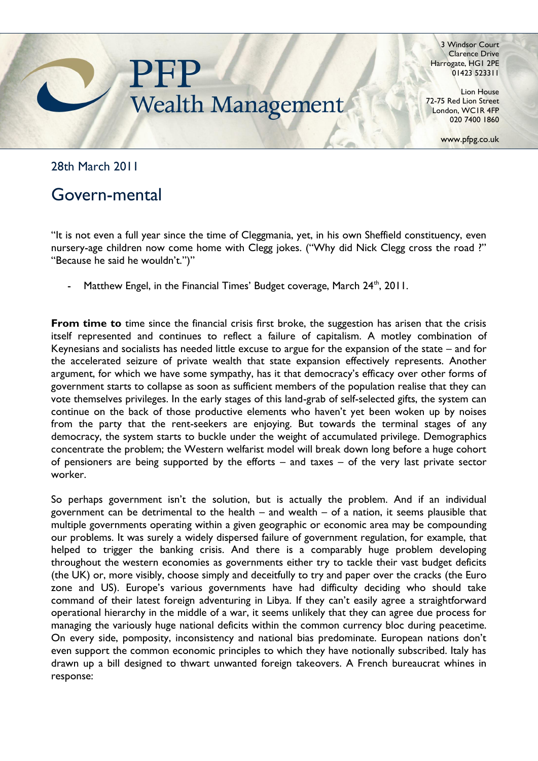

3 Windsor Court Clarence Drive Harrogate, HG1 2PE 01423 523311

Lion House 72-75 Red Lion Street London, WC1R 4FP 020 7400 1860

www.pfpg.co.uk

28th March 2011

## Govern-mental

"It is not even a full year since the time of Cleggmania, yet, in his own Sheffield constituency, even nursery-age children now come home with Clegg jokes. ("Why did Nick Clegg cross the road ?" "Because he said he wouldn't.")"

Matthew Engel, in the Financial Times' Budget coverage, March 24<sup>th</sup>, 2011.

**From time to** time since the financial crisis first broke, the suggestion has arisen that the crisis itself represented and continues to reflect a failure of capitalism. A motley combination of Keynesians and socialists has needed little excuse to argue for the expansion of the state – and for the accelerated seizure of private wealth that state expansion effectively represents. Another argument, for which we have some sympathy, has it that democracy's efficacy over other forms of government starts to collapse as soon as sufficient members of the population realise that they can vote themselves privileges. In the early stages of this land-grab of self-selected gifts, the system can continue on the back of those productive elements who haven"t yet been woken up by noises from the party that the rent-seekers are enjoying. But towards the terminal stages of any democracy, the system starts to buckle under the weight of accumulated privilege. Demographics concentrate the problem; the Western welfarist model will break down long before a huge cohort of pensioners are being supported by the efforts – and taxes – of the very last private sector worker.

So perhaps government isn't the solution, but is actually the problem. And if an individual government can be detrimental to the health – and wealth – of a nation, it seems plausible that multiple governments operating within a given geographic or economic area may be compounding our problems. It was surely a widely dispersed failure of government regulation, for example, that helped to trigger the banking crisis. And there is a comparably huge problem developing throughout the western economies as governments either try to tackle their vast budget deficits (the UK) or, more visibly, choose simply and deceitfully to try and paper over the cracks (the Euro zone and US). Europe's various governments have had difficulty deciding who should take command of their latest foreign adventuring in Libya. If they can't easily agree a straightforward operational hierarchy in the middle of a war, it seems unlikely that they can agree due process for managing the variously huge national deficits within the common currency bloc during peacetime. On every side, pomposity, inconsistency and national bias predominate. European nations don"t even support the common economic principles to which they have notionally subscribed. Italy has drawn up a bill designed to thwart unwanted foreign takeovers. A French bureaucrat whines in response: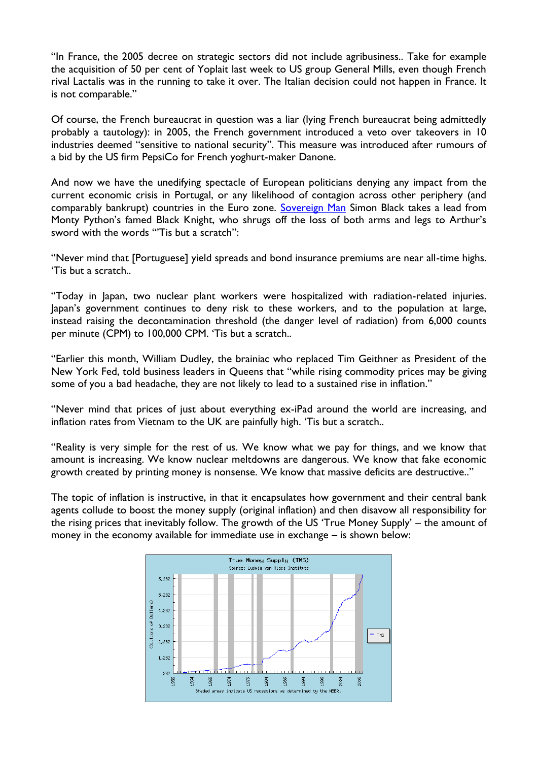"In France, the 2005 decree on strategic sectors did not include agribusiness.. Take for example the acquisition of 50 per cent of Yoplait last week to US group General Mills, even though French rival Lactalis was in the running to take it over. The Italian decision could not happen in France. It is not comparable."

Of course, the French bureaucrat in question was a liar (lying French bureaucrat being admittedly probably a tautology): in 2005, the French government introduced a veto over takeovers in 10 industries deemed "sensitive to national security". This measure was introduced after rumours of a bid by the US firm PepsiCo for French yoghurt-maker Danone.

And now we have the unedifying spectacle of European politicians denying any impact from the current economic crisis in Portugal, or any likelihood of contagion across other periphery (and comparably bankrupt) countries in the Euro zone. [Sovereign Man](http://www.sovereignman.com/) Simon Black takes a lead from Monty Python"s famed Black Knight, who shrugs off the loss of both arms and legs to Arthur"s sword with the words ""Tis but a scratch":

"Never mind that [Portuguese] yield spreads and bond insurance premiums are near all-time highs. 'Tis but a scratch..

"Today in Japan, two nuclear plant workers were hospitalized with radiation-related injuries. Japan"s government continues to deny risk to these workers, and to the population at large, instead raising the decontamination threshold (the danger level of radiation) from 6,000 counts per minute (CPM) to 100,000 CPM. "Tis but a scratch..

"Earlier this month, William Dudley, the brainiac who replaced Tim Geithner as President of the New York Fed, told business leaders in Queens that "while rising commodity prices may be giving some of you a bad headache, they are not likely to lead to a sustained rise in inflation."

"Never mind that prices of just about everything ex-iPad around the world are increasing, and inflation rates from Vietnam to the UK are painfully high. "Tis but a scratch..

"Reality is very simple for the rest of us. We know what we pay for things, and we know that amount is increasing. We know nuclear meltdowns are dangerous. We know that fake economic growth created by printing money is nonsense. We know that massive deficits are destructive.."

The topic of inflation is instructive, in that it encapsulates how government and their central bank agents collude to boost the money supply (original inflation) and then disavow all responsibility for the rising prices that inevitably follow. The growth of the US "True Money Supply" – the amount of money in the economy available for immediate use in exchange – is shown below:

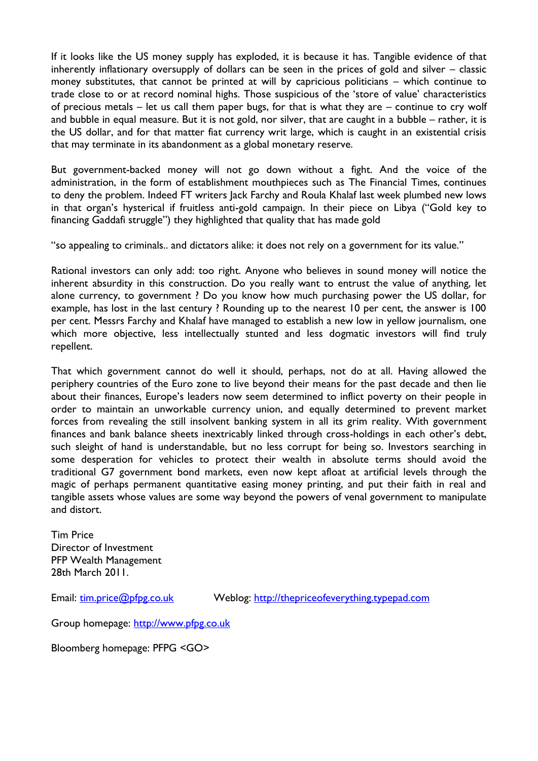If it looks like the US money supply has exploded, it is because it has. Tangible evidence of that inherently inflationary oversupply of dollars can be seen in the prices of gold and silver – classic money substitutes, that cannot be printed at will by capricious politicians – which continue to trade close to or at record nominal highs. Those suspicious of the "store of value" characteristics of precious metals – let us call them paper bugs, for that is what they are – continue to cry wolf and bubble in equal measure. But it is not gold, nor silver, that are caught in a bubble – rather, it is the US dollar, and for that matter fiat currency writ large, which is caught in an existential crisis that may terminate in its abandonment as a global monetary reserve.

But government-backed money will not go down without a fight. And the voice of the administration, in the form of establishment mouthpieces such as The Financial Times, continues to deny the problem. Indeed FT writers Jack Farchy and Roula Khalaf last week plumbed new lows in that organ's hysterical if fruitless anti-gold campaign. In their piece on Libya ("Gold key to financing Gaddafi struggle") they highlighted that quality that has made gold

"so appealing to criminals.. and dictators alike: it does not rely on a government for its value."

Rational investors can only add: too right. Anyone who believes in sound money will notice the inherent absurdity in this construction. Do you really want to entrust the value of anything, let alone currency, to government ? Do you know how much purchasing power the US dollar, for example, has lost in the last century ? Rounding up to the nearest 10 per cent, the answer is 100 per cent. Messrs Farchy and Khalaf have managed to establish a new low in yellow journalism, one which more objective, less intellectually stunted and less dogmatic investors will find truly repellent.

That which government cannot do well it should, perhaps, not do at all. Having allowed the periphery countries of the Euro zone to live beyond their means for the past decade and then lie about their finances, Europe's leaders now seem determined to inflict poverty on their people in order to maintain an unworkable currency union, and equally determined to prevent market forces from revealing the still insolvent banking system in all its grim reality. With government finances and bank balance sheets inextricably linked through cross-holdings in each other's debt, such sleight of hand is understandable, but no less corrupt for being so. Investors searching in some desperation for vehicles to protect their wealth in absolute terms should avoid the traditional G7 government bond markets, even now kept afloat at artificial levels through the magic of perhaps permanent quantitative easing money printing, and put their faith in real and tangible assets whose values are some way beyond the powers of venal government to manipulate and distort.

Tim Price Director of Investment PFP Wealth Management 28th March 2011.

Email: [tim.price@pfpg.co.uk](mailto:tim.price@pfpg.co.uk) Weblog: [http://thepriceofeverything.typepad.com](http://thepriceofeverything.typepad.com/)

Group homepage: [http://www.pfpg.co.uk](http://www.pfpg.co.uk/) 

Bloomberg homepage: PFPG <GO>